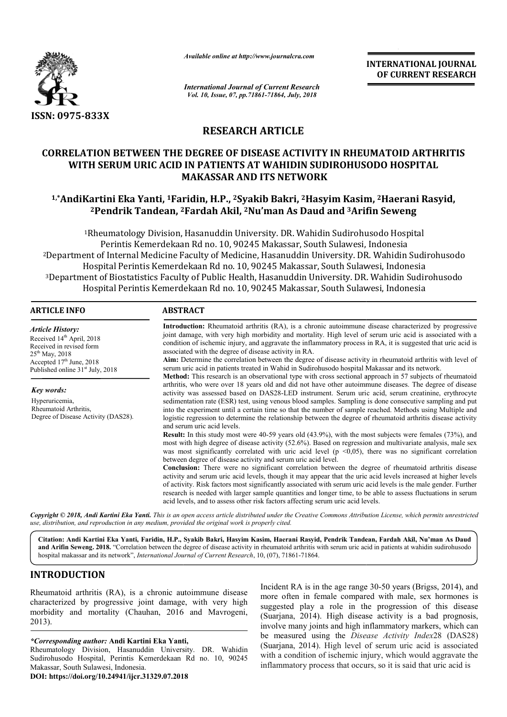

*Available online at http://www.journalcra.com*

*International Journal of Current Research Vol. 10, Issue, 07, pp.71861-71864, July, 2018*

**INTERNATIONAL JOURNAL OF CURRENT RESEARCH**

# **RESEARCH ARTICLE**

# **CORRELATION BETWEEN THE DEGREE OF DISEASE ACTIVITY IN RHEUMATOID ARTHRITIS WITH SERUM URIC ACID IN PATIENTS AT WAHIDIN SUDIROHUSODO HOSPITAL MAKASSAR AND ITS NETWORK**

# **1,\*AndiKartini Eka Yanti, 1Faridin Faridin, H.P., 2Syakib Bakri, 2Hasyim Kasim Hasyim Kasim, 2Haerani Rasyid, 2Pendrik Tandean, <sup>2</sup> 2Fardah Akil, 2Nu'man As Daud and 3Arifin Seweng Arifin**

<sup>1</sup>Rheumatology Division, Hasanuddin University. DR. Wahidin Sudirohusodo Hospital Perintis Kemerdekaan Rd no. 10, 90245 Makassar, South Sulawesi, Indonesia <sup>2</sup>Department of Internal Medicine Faculty of Medicine, Hasanuddin University. DR. Wahidin Sudirohusodo Hospital Perintis Kemerdekaan Rd no. 10, 90245 Makassar, South Sulawesi, Indonesia <sup>3</sup>Department of Biostatistics Faculty of Public Health, Hasanuddin University. DR. Wahidin Hospital Perintis Kemerdekaan Rd no. 10, 90245 Makassar, South Sulawesi, Indonesia ntis Kemerdekaan Rd no. 10, 90245 Makassar, South Sulawesi, Indonesia<br>ernal Medicine Faculty of Medicine, Hasanuddin University. DR. Wahidin Sudirohusodo<br>Perintis Kemerdekaan Rd no. 10, 90245 Makassar, South Sulawesi, Indo

| <b>ARTICLE INFO</b>                                                                                                                                                                            | <b>ABSTRACT</b>                                                                                                                                                                                                                                                                                                                                                                                                                                                                                                                                                                                                                                                                                                                          |  |  |  |  |  |
|------------------------------------------------------------------------------------------------------------------------------------------------------------------------------------------------|------------------------------------------------------------------------------------------------------------------------------------------------------------------------------------------------------------------------------------------------------------------------------------------------------------------------------------------------------------------------------------------------------------------------------------------------------------------------------------------------------------------------------------------------------------------------------------------------------------------------------------------------------------------------------------------------------------------------------------------|--|--|--|--|--|
| <b>Article History:</b><br>Received 14 <sup>th</sup> April, 2018<br>Received in revised form<br>$25th$ May, 2018<br>Accepted $17th$ June, 2018<br>Published online 31 <sup>st</sup> July, 2018 | <b>Introduction:</b> Rheumatoid arthritis (RA), is a chronic autoimmune disease characterized by progressive<br>joint damage, with very high morbidity and mortality. High level of serum uric acid is associated with a<br>condition of ischemic injury, and aggravate the inflammatory process in RA, it is suggested that uric acid is<br>associated with the degree of disease activity in RA.<br>Aim: Determine the correlation between the degree of disease activity in rheumatoid arthritis with level of<br>serum uric acid in patients treated in Wahid in Sudirohusodo hospital Makassar and its network.<br><b>Method:</b> This research is an observational type with cross sectional approach in 57 subjects of rheumatoid |  |  |  |  |  |
| Key words:                                                                                                                                                                                     | arthritis, who were over 18 years old and did not have other autoimmune diseases. The degree of disease<br>activity was assessed based on DAS28-LED instrument. Serum uric acid, serum creatinine, erythrocyte                                                                                                                                                                                                                                                                                                                                                                                                                                                                                                                           |  |  |  |  |  |
| Hyperuricemia,<br>Rheumatoid Arthritis,<br>Degree of Disease Activity (DAS28).                                                                                                                 | sedimentation rate (ESR) test, using venous blood samples. Sampling is done consecutive sampling and put<br>into the experiment until a certain time so that the number of sample reached. Methods using Multiple and<br>logistic regression to determine the relationship between the degree of rheumatoid arthritis disease activity<br>and serum uric acid levels.                                                                                                                                                                                                                                                                                                                                                                    |  |  |  |  |  |
|                                                                                                                                                                                                | Result: In this study most were 40-59 years old (43.9%), with the most subjects were females (73%), and<br>most with high degree of disease activity (52.6%). Based on regression and multivariate analysis, male sex<br>was most significantly correlated with uric acid level ( $p \le 0.05$ ), there was no significant correlation<br>between degree of disease activity and serum uric acid level.                                                                                                                                                                                                                                                                                                                                  |  |  |  |  |  |
|                                                                                                                                                                                                | Conclusion: There were no significant correlation between the degree of rheumatoid arthritis disease<br>activity and serum uric acid levels, though it may appear that the uric acid levels increased at higher levels<br>of activity. Risk factors most significantly associated with serum uric acid levels is the male gender. Further<br>research is needed with larger sample quantities and longer time, to be able to assess fluctuations in serum<br>acid levels, and to assess other risk factors affecting serum uric acid levels.                                                                                                                                                                                             |  |  |  |  |  |

Copyright © 2018, Andi Kartini Eka Yanti. This is an open access article distributed under the Creative Commons Attribution License, which permits unrestrictea *use, distribution, and reproduction in any medium, provided the original work is properly cited.*

**Citation: Andi Kartini Eka Yanti, Faridin, H.P., Syakib Bakri, Hasyim Kasim, Haerani Rasyid, Pendrik Tandean, Fardah Akil, Nu'man As Daud**  and Arifin Seweng. 2018. "Correlation between the degree of disease activity in rheumatoid arthritis with serum uric acid in patients at wahidin sudirohusodo hospital makassar and its network", *International Journal of Current Research* , 10, (07), 71861-71864.

# **INTRODUCTION**

Rheumatoid arthritis (RA), is a chronic autoimmune disease characterized by progressive joint damage, with very high morbidity and mortality (Chauhan, 2016 and Mavrogeni, 2013).

#### *\*Corresponding author:* **Andi Kartini Eka Yanti Yanti,**

Rheumatology Division, Hasanuddin University. DR. Wahidin Sudirohusodo Hospital, Perintis Kemerdekaan Rd no. 10, 90245 Makassar, South Sulawesi, Indonesia.

**DOI: https://doi.org/10.24941/ijcr.31329.07.2018**

mic autoimmune disease<br>
lamage, with very high<br>
2016 and Mavrogeni,<br>
2016 and Mavrogeni,<br>
(Suarjana, 2014). High disease<br>
involve many joints and high inflant<br>
La **Yanti**,<br>
University. DR. Wahidin<br>
University. DR. Wahidin<br> more often in female compared with male, sex hormones is suggested play a role in the progression of this disease (Suarjana, 2014). High disease activity is a bad prognosis, involve many joints and high inflammatory markers, which can be measured using the *Disease Activity Index*28 (DAS28) (Suarjana, 2014). High level of serum uric acid is associated with a condition of ischemic injury, which would aggravate the inflammatory process that occurs, so it is said that uric acid is Incident RA is in the age range 30-50 years (Brigss, 2014), and iana, 2014). High level of serum uric acid is associate a condition of ischemic injury, which would aggravate the matory process that occurs, so it is said that uric acid is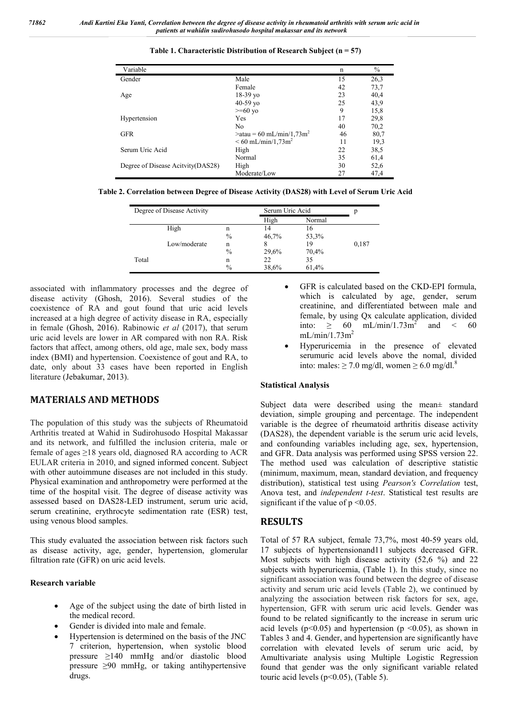| Variable                           |                                           | n  | $\frac{0}{0}$ |
|------------------------------------|-------------------------------------------|----|---------------|
| Gender                             | Male                                      | 15 | 26,3          |
|                                    | Female                                    | 42 | 73,7          |
| Age                                | $18-39$ yo                                | 23 | 40,4          |
|                                    | $40-59$ yo                                | 25 | 43,9          |
|                                    | $>= 60$ yo                                | 9  | 15,8          |
| Hypertension                       | Yes                                       | 17 | 29,8          |
|                                    | No.                                       | 40 | 70,2          |
| <b>GFR</b>                         | $\text{$ } = 60 mL/min/1,73m <sup>2</sup> | 46 | 80,7          |
|                                    | $< 60$ mL/min/1,73m <sup>2</sup>          | 11 | 19,3          |
| Serum Uric Acid                    | High                                      | 22 | 38,5          |
|                                    | Normal                                    | 35 | 61,4          |
| Degree of Disease Acityity (DAS28) | High                                      | 30 | 52,6          |
|                                    | Moderate/Low                              | 27 | 47,4          |

**Table 1. Characteristic Distribution of Research Subject (n = 57)**

**Table 2. Correlation between Degree of Disease Activity (DAS28) with Level of Serum Uric Acid**

| Degree of Disease Activity |              |      | Serum Uric Acid |        |       |
|----------------------------|--------------|------|-----------------|--------|-------|
|                            |              |      | High            | Normal |       |
|                            | High         | n    | 14              | 16     |       |
|                            |              | $\%$ | 46,7%           | 53,3%  |       |
|                            | Low/moderate | n    |                 | 19     | 0,187 |
|                            |              | $\%$ | 29,6%           | 70,4%  |       |
| Total                      |              | n    | 22              | 35     |       |
|                            |              | $\%$ | 38,6%           | 61,4%  |       |

associated with inflammatory processes and the degree of disease activity (Ghosh, 2016). Several studies of the coexistence of RA and gout found that uric acid levels increased at a high degree of activity disease in RA, especially in female (Ghosh, 2016). Rabinowic *et al* (2017), that serum uric acid levels are lower in AR compared with non RA. Risk factors that affect, among others, old age, male sex, body mass index (BMI) and hypertension. Coexistence of gout and RA, to date, only about 33 cases have been reported in English literature (Jebakumar, 2013).

# **MATERIALS AND METHODS**

The population of this study was the subjects of Rheumatoid Arthritis treated at Wahid in Sudirohusodo Hospital Makassar and its network, and fulfilled the inclusion criteria, male or female of ages  $\geq$ 18 years old, diagnosed RA according to ACR EULAR criteria in 2010, and signed informed concent. Subject with other autoimmune diseases are not included in this study. Physical examination and anthropometry were performed at the time of the hospital visit. The degree of disease activity was assessed based on DAS28-LED instrument, serum uric acid, serum creatinine, erythrocyte sedimentation rate (ESR) test, using venous blood samples.

This study evaluated the association between risk factors such as disease activity, age, gender, hypertension, glomerular filtration rate (GFR) on uric acid levels.

### **Research variable**

- Age of the subject using the date of birth listed in the medical record.
- Gender is divided into male and female.
- Hypertension is determined on the basis of the JNC 7 criterion, hypertension, when systolic blood pressure ≥140 mmHg and/or diastolic blood pressure ≥90 mmHg, or taking antihypertensive drugs.
- GFR is calculated based on the CKD-EPI formula, which is calculated by age, gender, serum creatinine, and differentiated between male and female, by using Qx calculate application, divided into:  $\geq 60$  mL/min/1.73m<sup>2</sup> and < 60  $mL/min/1.73m<sup>2</sup>$
- Hyperuricemia in the presence of elevated serumuric acid levels above the nomal, divided into: males:  $\geq 7.0$  mg/dl, women  $\geq 6.0$  mg/dl.<sup>8</sup>

## **Statistical Analysis**

Subject data were described using the mean± standard deviation, simple grouping and percentage. The independent variable is the degree of rheumatoid arthritis disease activity (DAS28), the dependent variable is the serum uric acid levels, and confounding variables including age, sex, hypertension, and GFR. Data analysis was performed using SPSS version 22. The method used was calculation of descriptive statistic (minimum, maximum, mean, standard deviation, and frequency distribution), statistical test using *Pearson's Correlation* test, Anova test, and *independent t-test*. Statistical test results are significant if the value of  $p \le 0.05$ .

# **RESULTS**

Total of 57 RA subject, female 73,7%, most 40-59 years old, 17 subjects of hypertensionand11 subjects decreased GFR. Most subjects with high disease activity (52,6 %) and 22 subjects with hyperuricemia, (Table 1). In this study, since no significant association was found between the degree of disease activity and serum uric acid levels (Table 2), we continued by analyzing the association between risk factors for sex, age, hypertension, GFR with serum uric acid levels. Gender was found to be related significantly to the increase in serum uric acid levels ( $p<0.05$ ) and hypertension ( $p<0.05$ ), as shown in Tables 3 and 4. Gender, and hypertension are significantly have correlation with elevated levels of serum uric acid, by Amultivariate analysis using Multiple Logistic Regression found that gender was the only significant variable related touric acid levels (p<0.05), (Table 5).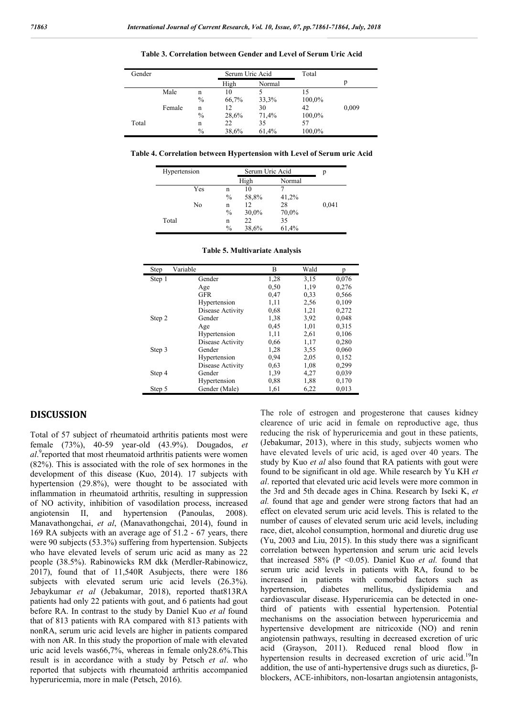| Gender |        |               | Serum Uric Acid |        | Total  |       |
|--------|--------|---------------|-----------------|--------|--------|-------|
|        |        |               | High            | Normal |        | р     |
|        | Male   | n             | 10              |        |        |       |
|        |        | $\frac{0}{0}$ | 66,7%           | 33,3%  | 100,0% |       |
|        | Female | n             | 12              | 30     | 42     | 0,009 |
|        |        | $\frac{0}{0}$ | 28,6%           | 71,4%  | 100,0% |       |
| Total  |        | n             | 22              | 35     | 57     |       |
|        |        | $\%$          | 38,6%           | 61,4%  | 100,0% |       |

**Table 3. Correlation between Gender and Level of Serum Uric Acid**

**Table 4. Correlation between Hypertension with Level of Serum uric Acid**

|       | Serum Uric Acid<br>Hypertension |               |       | р      |       |
|-------|---------------------------------|---------------|-------|--------|-------|
|       |                                 |               | High  | Normal |       |
|       | Yes                             | n             | 10    |        |       |
|       |                                 | $\frac{0}{0}$ | 58,8% | 41,2%  |       |
|       | No                              | n             | 12    | 28     | 0,041 |
|       |                                 | $\%$          | 30,0% | 70,0%  |       |
| Total |                                 | n             | 22    | 35     |       |
|       |                                 | $\frac{0}{0}$ | 38,6% | 61,4%  |       |

| Step   | Variable         | В    | Wald | р     |
|--------|------------------|------|------|-------|
| Step 1 | Gender           | 1,28 | 3,15 | 0,076 |
|        | Age              | 0.50 | 1,19 | 0,276 |
|        | <b>GFR</b>       | 0,47 | 0.33 | 0,566 |
|        | Hypertension     | 1,11 | 2.56 | 0,109 |
|        | Disease Activity | 0.68 | 1,21 | 0,272 |
| Step 2 | Gender           | 1,38 | 3.92 | 0,048 |
|        | Age              | 0.45 | 1,01 | 0.315 |
|        | Hypertension     | 1,11 | 2,61 | 0,106 |
|        | Disease Activity | 0.66 | 1,17 | 0,280 |
| Step 3 | Gender           | 1,28 | 3.55 | 0,060 |
|        | Hypertension     | 0,94 | 2,05 | 0,152 |
|        | Disease Activity | 0.63 | 1,08 | 0,299 |
| Step 4 | Gender           | 1,39 | 4,27 | 0,039 |
|        | Hypertension     | 0.88 | 1,88 | 0,170 |
| Step 5 | Gender (Male)    | 1,61 | 6,22 | 0,013 |

### **DISCUSSION**

Total of 57 subject of rheumatoid arthritis patients most were female (73%), 40-59 year-old (43.9%). Dougados, *et*  al.<sup>9</sup> reported that most rheumatoid arthritis patients were women (82%). This is associated with the role of sex hormones in the development of this disease (Kuo, 2014). 17 subjects with hypertension (29.8%), were thought to be associated with inflammation in rheumatoid arthritis, resulting in suppression of NO activity, inhibition of vasodilation process, increased angiotensin II, and hypertension (Panoulas, 2008). Manavathongchai, *et al*, (Manavathongchai, 2014), found in 169 RA subjects with an average age of 51.2 - 67 years, there were 90 subjects (53.3%) suffering from hypertension. Subjects who have elevated levels of serum uric acid as many as 22 people (38.5%). Rabinowicks RM dkk (Merdler-Rabinowicz, 2017), found that of 11,540R Asubjects, there were 186 subjects with elevated serum uric acid levels (26.3%). Jebaykumar *et al* (Jebakumar, 2018), reported that813RA patients had only 22 patients with gout, and 6 patients had gout before RA. In contrast to the study by Daniel Kuo *et al* found that of 813 patients with RA compared with 813 patients with nonRA, serum uric acid levels are higher in patients compared with non AR. In this study the proportion of male with elevated uric acid levels was66,7%, whereas in female only28.6%.This result is in accordance with a study by Petsch *et al*. who reported that subjects with rheumatoid arthritis accompanied hyperuricemia, more in male (Petsch, 2016).

The role of estrogen and progesterone that causes kidney clearence of uric acid in female on reproductive age, thus reducing the risk of hyperuricemia and gout in these patients, (Jebakumar, 2013), where in this study, subjects women who have elevated levels of uric acid, is aged over 40 years. The study by Kuo *et al* also found that RA patients with gout were found to be significant in old age. While research by Yu KH *et al*. reported that elevated uric acid levels were more common in the 3rd and 5th decade ages in China. Research by Iseki K, *et al.* found that age and gender were strong factors that had an effect on elevated serum uric acid levels. This is related to the number of causes of elevated serum uric acid levels, including race, diet, alcohol consumption, hormonal and diuretic drug use (Yu, 2003 and Liu, 2015). In this study there was a significant correlation between hypertension and serum uric acid levels that increased 58% (P <0.05). Daniel Kuo *et al.* found that serum uric acid levels in patients with RA, found to be increased in patients with comorbid factors such as hypertension, diabetes mellitus, dyslipidemia and cardiovascular disease. Hyperuricemia can be detected in onethird of patients with essential hypertension. Potential mechanisms on the association between hyperuricemia and hypertensive development are nitricoxide (NO) and renin angiotensin pathways, resulting in decreased excretion of uric acid (Grayson, 2011). Reduced renal blood flow in hypertension results in decreased excretion of uric acid.<sup>19</sup>In addition, the use of anti-hypertensive drugs such as diuretics, βblockers, ACE-inhibitors, non-losartan angiotensin antagonists,